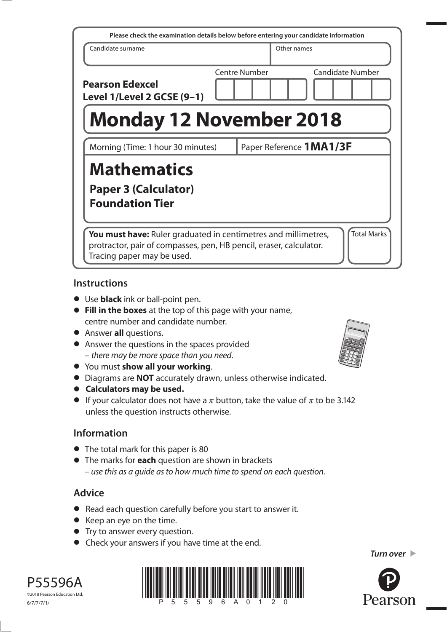| Please check the examination details below before entering your candidate information                                                                                                    |  |               |             |                         |  |
|------------------------------------------------------------------------------------------------------------------------------------------------------------------------------------------|--|---------------|-------------|-------------------------|--|
| Candidate surname                                                                                                                                                                        |  |               | Other names |                         |  |
| <b>Pearson Edexcel</b><br>Level 1/Level 2 GCSE (9-1)                                                                                                                                     |  | Centre Number |             | <b>Candidate Number</b> |  |
| <b>Monday 12 November 2018</b>                                                                                                                                                           |  |               |             |                         |  |
| Paper Reference <b>1MA1/3F</b><br>Morning (Time: 1 hour 30 minutes)                                                                                                                      |  |               |             |                         |  |
| <b>Mathematics</b><br><b>Paper 3 (Calculator)</b><br><b>Foundation Tier</b>                                                                                                              |  |               |             |                         |  |
| <b>Total Marks</b><br>You must have: Ruler graduated in centimetres and millimetres,<br>protractor, pair of compasses, pen, HB pencil, eraser, calculator.<br>Tracing paper may be used. |  |               |             |                         |  |

#### **Instructions**

- **•** Use **black** ink or ball-point pen.
- **• Fill in the boxes** at the top of this page with your name, centre number and candidate number.
- **•** Answer **all** questions.
- **•** Answer the questions in the spaces provided – there may be more space than you need.
- **•** You must **show all your working**.
- **•** Diagrams are **NOT** accurately drawn, unless otherwise indicated.
- **• Calculators may be used.**
- If your calculator does not have a  $\pi$  button, take the value of  $\pi$  to be 3.142 unless the question instructs otherwise.

# **Information**

- **•** The total mark for this paper is 80
- **•** The marks for **each** question are shown in brackets – use this as a guide as to how much time to spend on each question.

# **Advice**

- **•** Read each question carefully before you start to answer it.
- **•** Keep an eye on the time.
- **•** Try to answer every question.
- **•** Check your answers if you have time at the end.









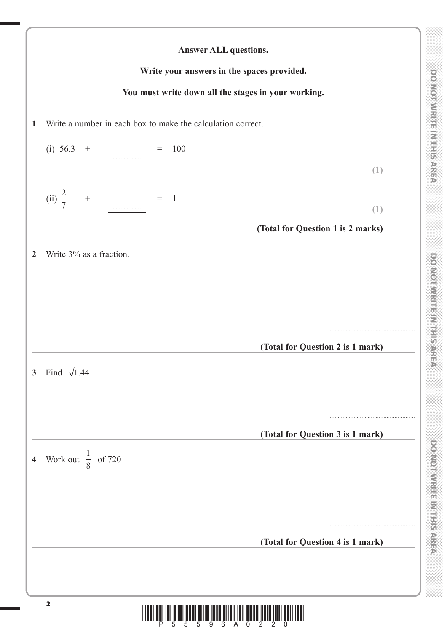

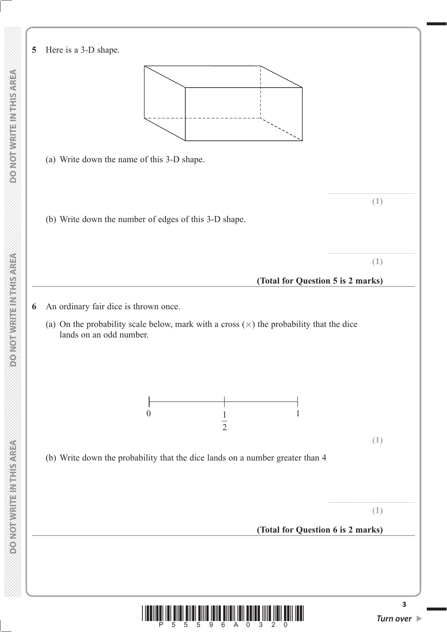

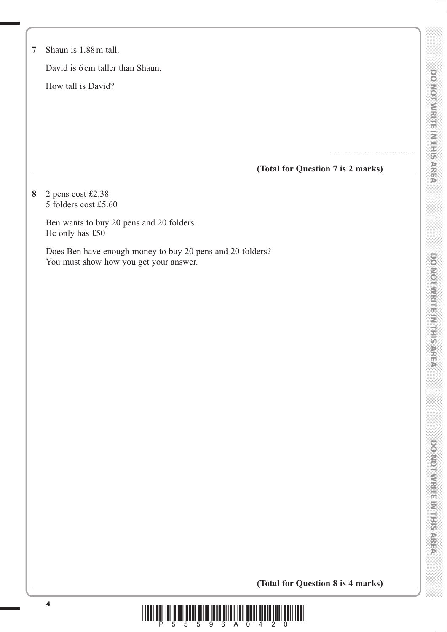| $\overline{0}$ |
|----------------|
|                |
| C<br>C         |
|                |
|                |
|                |
|                |
|                |
|                |
|                |
|                |
|                |
| ₩              |
| r<br>V         |
|                |
|                |
|                |
|                |
|                |
| ۲              |
|                |
|                |
|                |
|                |
|                |
|                |
|                |
|                |
|                |
|                |
|                |
|                |
|                |
|                |
|                |
|                |
|                |
|                |
|                |
| $\tilde{e}$    |
|                |
|                |
|                |
|                |
|                |
|                |
|                |
|                |
|                |
| er<br>Se       |
|                |
|                |
|                |
|                |
|                |
|                |
|                |
|                |
|                |
|                |
|                |
|                |
|                |
|                |
|                |
|                |
|                |
|                |
|                |
| e<br>O         |
|                |
|                |
| e<br>O         |
|                |
|                |
| à,             |
| ₩              |
| 藇              |
|                |
| Ź              |
|                |
|                |
| ed<br>Ca       |
|                |
|                |
|                |

| $\overline{7}$ | Shaun is 1.88 m tall.                                                                               |
|----------------|-----------------------------------------------------------------------------------------------------|
|                | David is 6 cm taller than Shaun.                                                                    |
|                | How tall is David?                                                                                  |
|                |                                                                                                     |
|                |                                                                                                     |
|                |                                                                                                     |
|                |                                                                                                     |
|                | (Total for Question 7 is 2 marks)                                                                   |
| 8              | 2 pens cost £2.38<br>5 folders cost £5.60                                                           |
|                | Ben wants to buy 20 pens and 20 folders.<br>He only has £50                                         |
|                | Does Ben have enough money to buy 20 pens and 20 folders?<br>You must show how you get your answer. |
|                |                                                                                                     |
|                |                                                                                                     |
|                |                                                                                                     |
|                |                                                                                                     |
|                |                                                                                                     |
|                |                                                                                                     |
|                |                                                                                                     |
|                |                                                                                                     |
|                |                                                                                                     |
|                |                                                                                                     |
|                |                                                                                                     |
|                |                                                                                                     |
|                |                                                                                                     |
|                |                                                                                                     |
|                |                                                                                                     |
|                |                                                                                                     |
|                |                                                                                                     |

**(Total for Question 8 is 4 marks)**

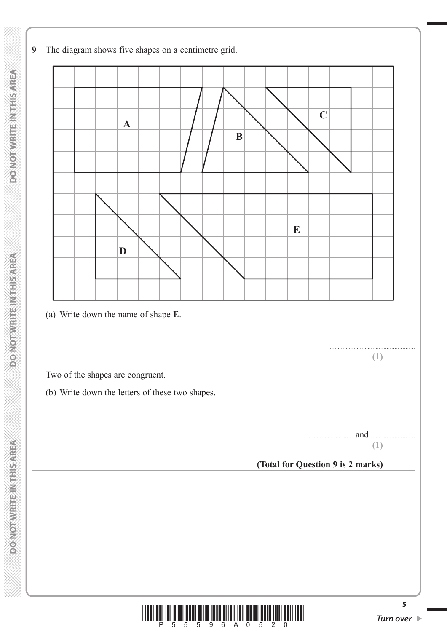**9** The diagram shows five shapes on a centimetre grid.





**5**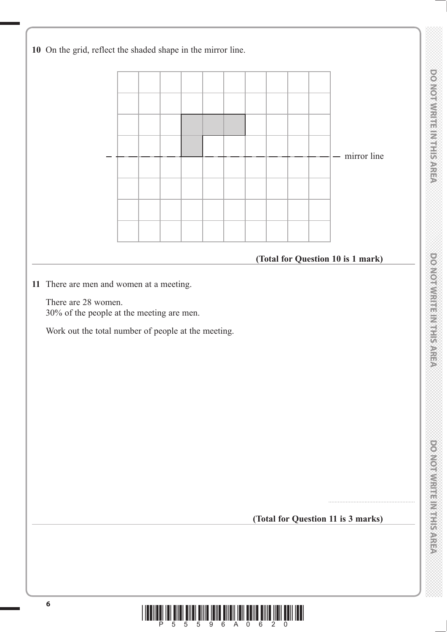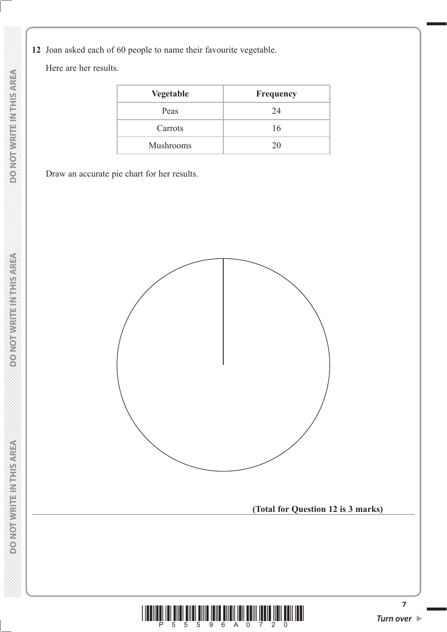**12** Joan asked each of 60 people to name their favourite vegetable.

Here are her results.

| <b>Vegetable</b> | <b>Frequency</b> |
|------------------|------------------|
| Peas             | 24               |
| Carrots          | 16               |
| Mushrooms        | 20               |

Draw an accurate pie chart for her results.

![](_page_6_Figure_4.jpeg)

![](_page_6_Picture_5.jpeg)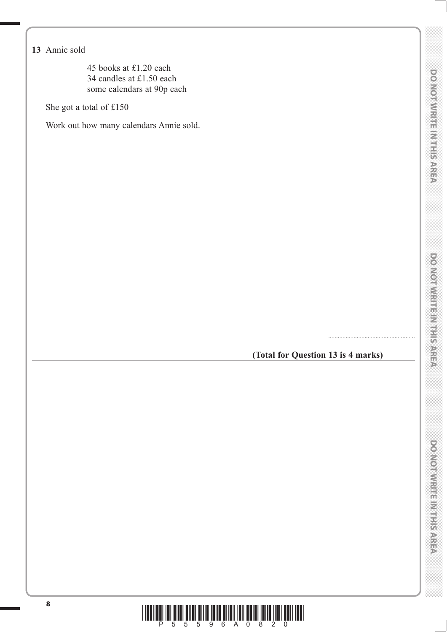45 books at £1.20 each 34 candles at £1.50 each some calendars at 90p each

She got a total of £150

Work out how many calendars Annie sold.

# **(Total for Question 13 is 4 marks)**

.......................................................

![](_page_7_Picture_8.jpeg)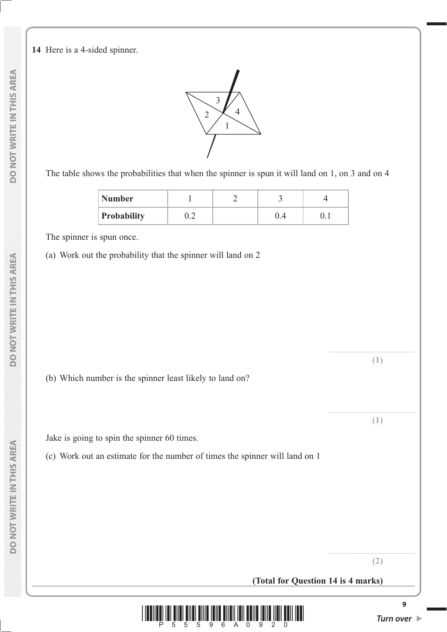**14** Here is a 4-sided spinner.

![](_page_8_Figure_1.jpeg)

The table shows the probabilities that when the spinner is spun it will land on 1, on 3 and on 4

| <b>Number</b>      |     |     |  |
|--------------------|-----|-----|--|
| <b>Probability</b> | ے . | U.4 |  |

The spinner is spun once.

(a) Work out the probability that the spinner will land on 2

(b) Which number is the spinner least likely to land on?

Jake is going to spin the spinner 60 times.

(c) Work out an estimate for the number of times the spinner will land on 1

....................................................... **(1)**

....................................................... **(1)**

....................................................... **(2)**

![](_page_8_Picture_10.jpeg)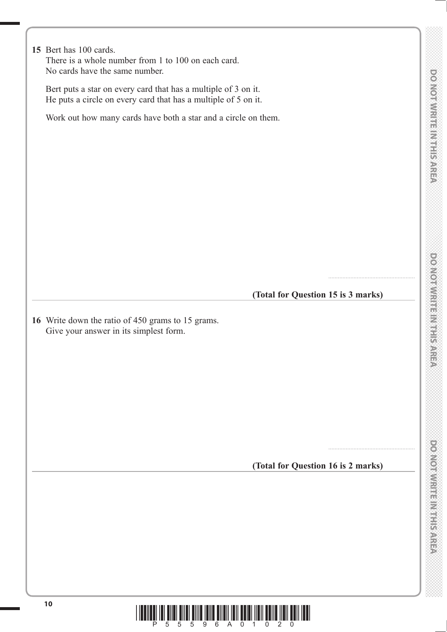|                                                                | 10<br>5<br>5<br>9<br>6<br>0                                                                                                      |  |  |  |  |  |
|----------------------------------------------------------------|----------------------------------------------------------------------------------------------------------------------------------|--|--|--|--|--|
|                                                                |                                                                                                                                  |  |  |  |  |  |
|                                                                |                                                                                                                                  |  |  |  |  |  |
|                                                                |                                                                                                                                  |  |  |  |  |  |
|                                                                | (Total for Question 16 is 2 marks)                                                                                               |  |  |  |  |  |
|                                                                |                                                                                                                                  |  |  |  |  |  |
|                                                                |                                                                                                                                  |  |  |  |  |  |
|                                                                |                                                                                                                                  |  |  |  |  |  |
|                                                                | 16 Write down the ratio of 450 grams to 15 grams.<br>Give your answer in its simplest form.                                      |  |  |  |  |  |
|                                                                | (Total for Question 15 is 3 marks)                                                                                               |  |  |  |  |  |
|                                                                |                                                                                                                                  |  |  |  |  |  |
|                                                                |                                                                                                                                  |  |  |  |  |  |
|                                                                |                                                                                                                                  |  |  |  |  |  |
|                                                                |                                                                                                                                  |  |  |  |  |  |
| Work out how many cards have both a star and a circle on them. |                                                                                                                                  |  |  |  |  |  |
|                                                                | Bert puts a star on every card that has a multiple of 3 on it.<br>He puts a circle on every card that has a multiple of 5 on it. |  |  |  |  |  |
|                                                                | 15 Bert has 100 cards.<br>There is a whole number from 1 to 100 on each card.<br>No cards have the same number.                  |  |  |  |  |  |

 $\overline{\phantom{a}}$ 

 $\overline{\phantom{a}}$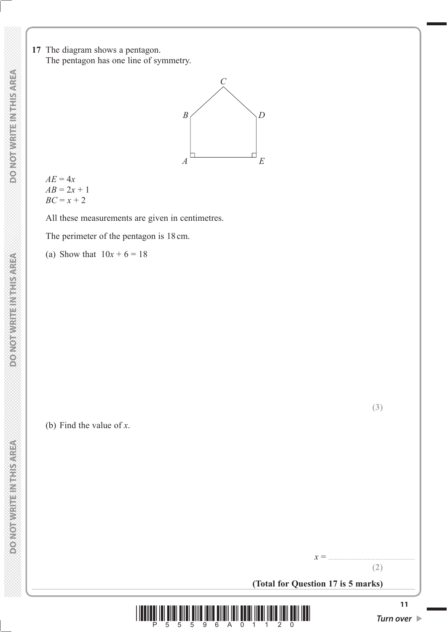**17** The diagram shows a pentagon. The pentagon has one line of symmetry.

![](_page_10_Figure_2.jpeg)

 $AE = 4x$  $AB = 2x + 1$  $BC = x + 2$ 

All these measurements are given in centimetres.

The perimeter of the pentagon is 18 cm.

(a) Show that  $10x + 6 = 18$ 

(b) Find the value of *x*.

**(2)**

*x* = .......................................................

![](_page_10_Picture_10.jpeg)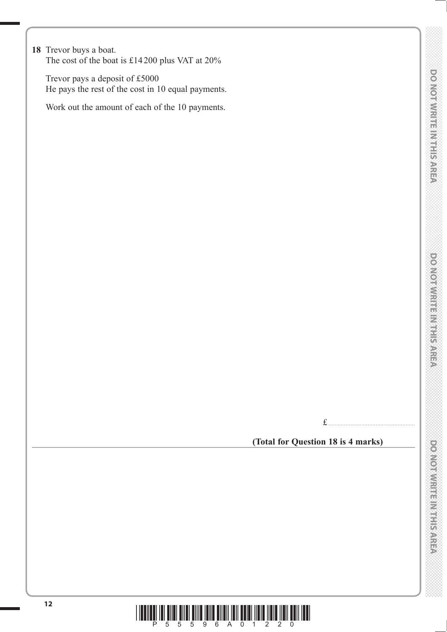### **18** Trevor buys a boat.

The cost of the boat is £14 200 plus VAT at 20%

 Trevor pays a deposit of £5000 He pays the rest of the cost in 10 equal payments.

Work out the amount of each of the 10 payments.

£ .......................................................

### **(Total for Question 18 is 4 marks)**

![](_page_11_Picture_9.jpeg)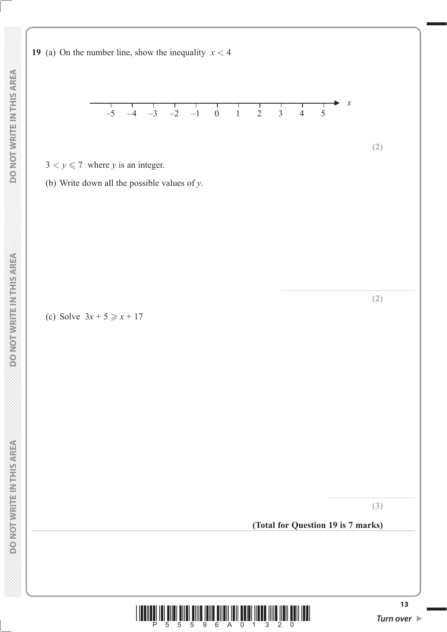![](_page_12_Figure_3.jpeg)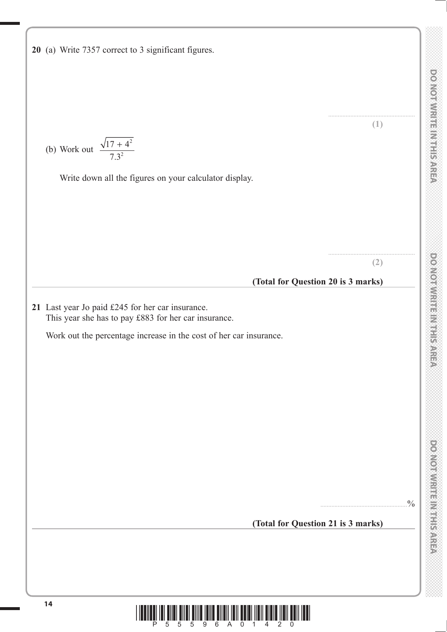**20** (a) Write 7357 correct to 3 significant figures. ....................................................... **(1)** (b) Work out  $\frac{\sqrt{17 + 4}}{7.3^2}$ 2 2 + . Write down all the figures on your calculator display. ....................................................... **(2) (Total for Question 20 is 3 marks) 21** Last year Jo paid £245 for her car insurance. This year she has to pay £883 for her car insurance. Work out the percentage increase in the cost of her car insurance.  $.9/0$ **(Total for Question 21 is 3 marks)**

![](_page_13_Picture_5.jpeg)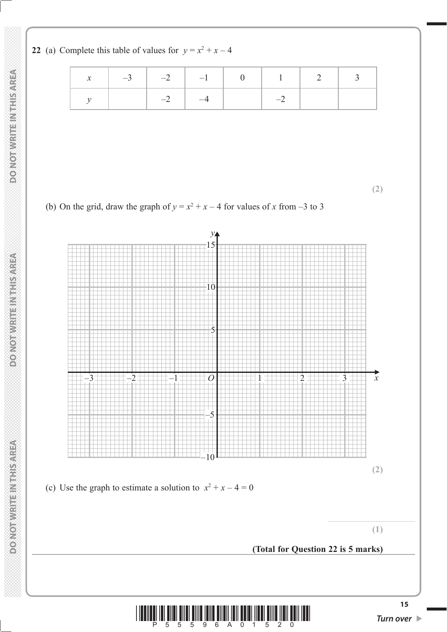**22** (a) Complete this table of values for  $y = x^2 + x - 4$ 

|  | $-3$ $-2$ $-1$ $-1$ 0 1 2 3 |  |  |
|--|-----------------------------|--|--|
|  | $\sim$ $-4$                 |  |  |

**(2)**

![](_page_14_Figure_3.jpeg)

![](_page_14_Figure_4.jpeg)

![](_page_14_Picture_5.jpeg)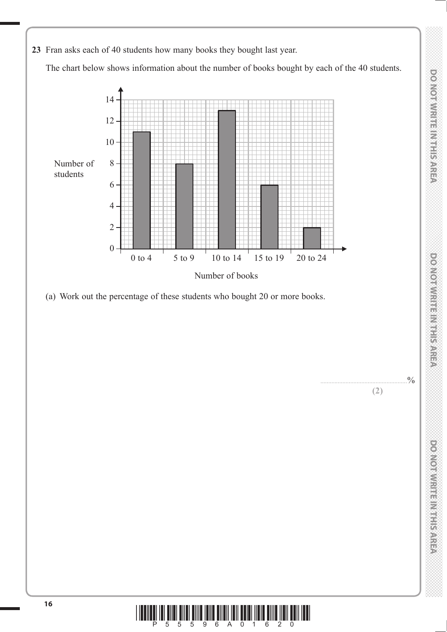**DO NOT WRITE IN THE IN THIS AREA DO NOT WRITE IN THIS AREA DO NOT WRITE IN THIS AREA DO NOT WRITE IN THIS AREA DO NOT WRITE IN THE INTERNATIONAL CONTINUES. THE INTERNATIONAL CONTINUES.** DO NOT WRITE IN THIS AREA

**(2)**

![](_page_15_Figure_3.jpeg)

![](_page_15_Picture_5.jpeg)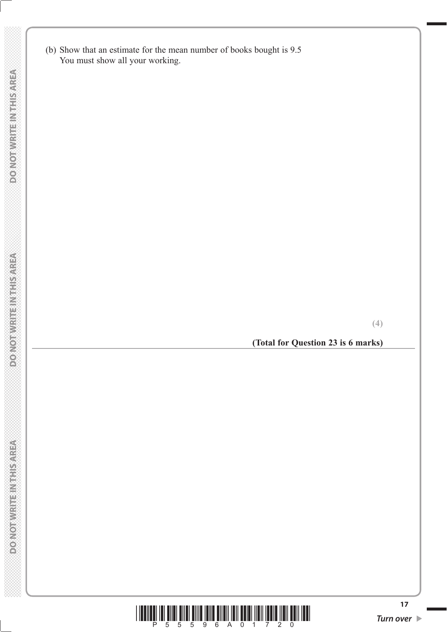(b) Show that an estimate for the mean number of books bought is 9.5 You must show all your working.

**(Total for Question 23 is 6 marks)**

![](_page_16_Picture_6.jpeg)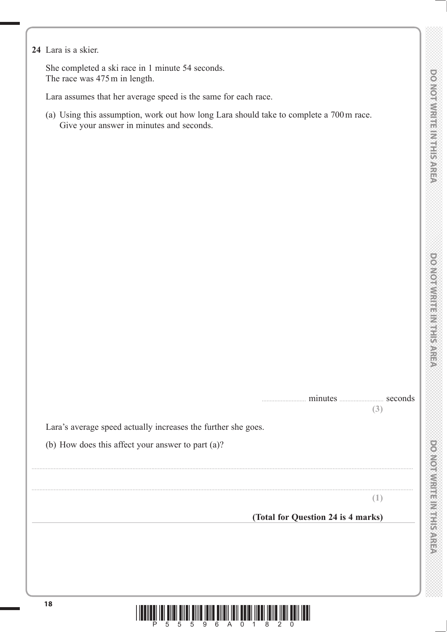**DOOMORATION ENGINEERING** 

**24** Lara is a skier.

 She completed a ski race in 1 minute 54 seconds. The race was 475 m in length.

Lara assumes that her average speed is the same for each race.

 (a) Using this assumption, work out how long Lara should take to complete a 700 m race. Give your answer in minutes and seconds.

| minutes | seconds |  |
|---------|---------|--|
|         | (3)     |  |

Lara's average speed actually increases the further she goes.

(b) How does this affect your answer to part (a)?

**(1)**

**(Total for Question 24 is 4 marks)**

![](_page_17_Picture_11.jpeg)

..................................................................................................................................................................................................................................................

..................................................................................................................................................................................................................................................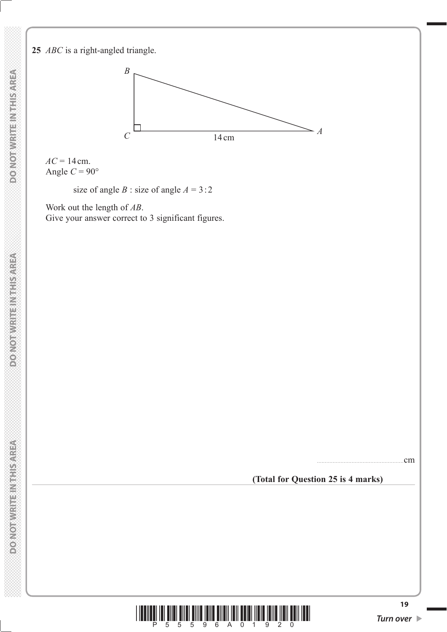### **25** *ABC* is a right-angled triangle.

![](_page_18_Figure_1.jpeg)

 $AC = 14$  cm. Angle  $C = 90^\circ$ 

size of angle *B* : size of angle  $A = 3:2$ 

 Work out the length of *AB*. Give your answer correct to 3 significant figures.

.......................................................cm

#### **(Total for Question 25 is 4 marks)**

![](_page_18_Picture_7.jpeg)